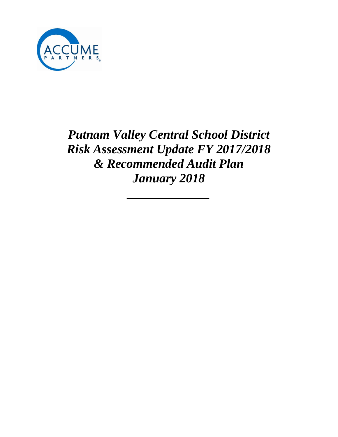

*Putnam Valley Central School District Risk Assessment Update FY 2017/2018 & Recommended Audit Plan January 2018*

*\_\_\_\_\_\_\_\_\_\_\_\_\_*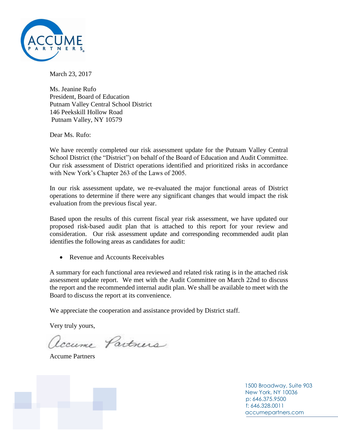

March 23, 2017

Ms. Jeanine Rufo President, Board of Education Putnam Valley Central School District 146 Peekskill Hollow Road Putnam Valley, NY 10579

Dear Ms. Rufo:

We have recently completed our risk assessment update for the Putnam Valley Central School District (the "District") on behalf of the Board of Education and Audit Committee. Our risk assessment of District operations identified and prioritized risks in accordance with New York's Chapter 263 of the Laws of 2005.

In our risk assessment update, we re-evaluated the major functional areas of District operations to determine if there were any significant changes that would impact the risk evaluation from the previous fiscal year.

Based upon the results of this current fiscal year risk assessment, we have updated our proposed risk-based audit plan that is attached to this report for your review and consideration. Our risk assessment update and corresponding recommended audit plan identifies the following areas as candidates for audit:

• Revenue and Accounts Receivables

A summary for each functional area reviewed and related risk rating is in the attached risk assessment update report. We met with the Audit Committee on March 22nd to discuss the report and the recommended internal audit plan. We shall be available to meet with the Board to discuss the report at its convenience.

We appreciate the cooperation and assistance provided by District staff.

Very truly yours,

Accume Partners

Accume Partners

1500 Broadway, Suite 903 New York, NY 10036 p: 646.375.9500 f: 646.328.0011 accumepartners.com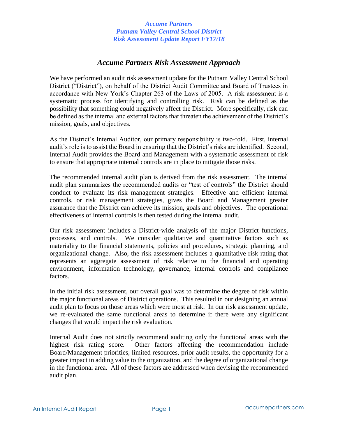# *Accume Partners Risk Assessment Approach*

We have performed an audit risk assessment update for the Putnam Valley Central School District ("District"), on behalf of the District Audit Committee and Board of Trustees in accordance with New York's Chapter 263 of the Laws of 2005. A risk assessment is a systematic process for identifying and controlling risk. Risk can be defined as the possibility that something could negatively affect the District. More specifically, risk can be defined as the internal and external factors that threaten the achievement of the District's mission, goals, and objectives.

As the District's Internal Auditor, our primary responsibility is two-fold. First, internal audit's role is to assist the Board in ensuring that the District's risks are identified. Second, Internal Audit provides the Board and Management with a systematic assessment of risk to ensure that appropriate internal controls are in place to mitigate those risks.

The recommended internal audit plan is derived from the risk assessment. The internal audit plan summarizes the recommended audits or "test of controls" the District should conduct to evaluate its risk management strategies. Effective and efficient internal controls, or risk management strategies, gives the Board and Management greater assurance that the District can achieve its mission, goals and objectives. The operational effectiveness of internal controls is then tested during the internal audit.

Our risk assessment includes a District-wide analysis of the major District functions, processes, and controls. We consider qualitative and quantitative factors such as materiality to the financial statements, policies and procedures, strategic planning, and organizational change. Also, the risk assessment includes a quantitative risk rating that represents an aggregate assessment of risk relative to the financial and operating environment, information technology, governance, internal controls and compliance factors.

In the initial risk assessment, our overall goal was to determine the degree of risk within the major functional areas of District operations. This resulted in our designing an annual audit plan to focus on those areas which were most at risk. In our risk assessment update, we re-evaluated the same functional areas to determine if there were any significant changes that would impact the risk evaluation.

Internal Audit does not strictly recommend auditing only the functional areas with the highest risk rating score. Other factors affecting the recommendation include Board/Management priorities, limited resources, prior audit results, the opportunity for a greater impact in adding value to the organization, and the degree of organizational change in the functional area. All of these factors are addressed when devising the recommended audit plan.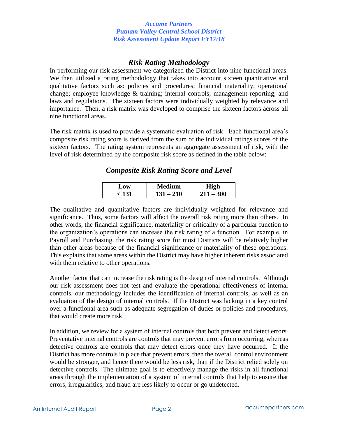# *Risk Rating Methodology*

In performing our risk assessment we categorized the District into nine functional areas. We then utilized a rating methodology that takes into account sixteen quantitative and qualitative factors such as: policies and procedures; financial materiality; operational change; employee knowledge & training; internal controls; management reporting; and laws and regulations. The sixteen factors were individually weighted by relevance and importance. Then, a risk matrix was developed to comprise the sixteen factors across all nine functional areas.

The risk matrix is used to provide a systematic evaluation of risk. Each functional area's composite risk rating score is derived from the sum of the individual ratings scores of the sixteen factors. The rating system represents an aggregate assessment of risk, with the level of risk determined by the composite risk score as defined in the table below:

*Composite Risk Rating Score and Level*

| Low        | <b>Medium</b>  | High        |  |
|------------|----------------|-------------|--|
| $\sim$ 131 | $-210$<br>131. | $211 - 300$ |  |

The qualitative and quantitative factors are individually weighted for relevance and significance. Thus, some factors will affect the overall risk rating more than others. In other words, the financial significance, materiality or criticality of a particular function to the organization's operations can increase the risk rating of a function. For example, in Payroll and Purchasing, the risk rating score for most Districts will be relatively higher than other areas because of the financial significance or materiality of these operations. This explains that some areas within the District may have higher inherent risks associated with them relative to other operations.

Another factor that can increase the risk rating is the design of internal controls. Although our risk assessment does not test and evaluate the operational effectiveness of internal controls, our methodology includes the identification of internal controls, as well as an evaluation of the design of internal controls. If the District was lacking in a key control over a functional area such as adequate segregation of duties or policies and procedures, that would create more risk.

In addition, we review for a system of internal controls that both prevent and detect errors. Preventative internal controls are controls that may prevent errors from occurring, whereas detective controls are controls that may detect errors once they have occurred. If the District has more controls in place that prevent errors, then the overall control environment would be stronger, and hence there would be less risk, than if the District relied solely on detective controls. The ultimate goal is to effectively manage the risks in all functional areas through the implementation of a system of internal controls that help to ensure that errors, irregularities, and fraud are less likely to occur or go undetected.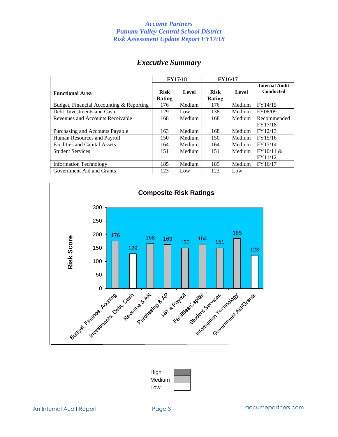# *Executive Summary*

|                                          | <b>FY17/18</b>        |        | <b>FY16/17</b>        |        |                                           |
|------------------------------------------|-----------------------|--------|-----------------------|--------|-------------------------------------------|
| <b>Functional Area</b>                   | <b>Risk</b><br>Rating | Level  | <b>Risk</b><br>Rating | Level  | <b>Internal Audit</b><br><b>Conducted</b> |
| Budget, Financial Accounting & Reporting | 176                   | Medium | 176                   | Medium | FY14/15                                   |
| Debt, Investments and Cash               | 129                   | Low    | 138                   | Medium | FY08/09                                   |
| Revenues and Accounts Receivable         | 168                   | Medium | 168                   | Medium | Recommended<br>FY17/18                    |
| Purchasing and Accounts Payable          | 163                   | Medium | 168                   | Medium | FY12/13                                   |
| Human Resources and Payroll              | 150                   | Medium | 150                   | Medium | FY15/16                                   |
| <b>Facilities and Capital Assets</b>     | 164                   | Medium | 164                   | Medium | FY13/14                                   |
| <b>Student Services</b>                  | 151                   | Medium | 151                   | Medium | FY10/11 &<br>FY11/12                      |
| <b>Information Technology</b>            | 185                   | Medium | 185                   | Medium | FY16/17                                   |
| Government Aid and Grants                | 123                   | Low    | 123                   | Low    |                                           |



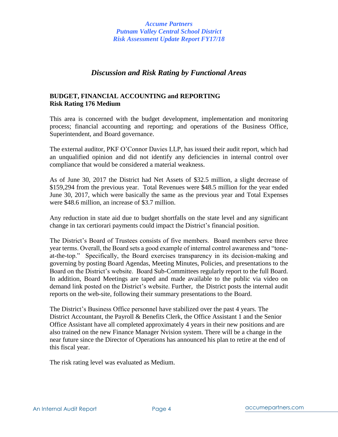# *Discussion and Risk Rating by Functional Areas*

# **BUDGET, FINANCIAL ACCOUNTING and REPORTING Risk Rating 176 Medium**

This area is concerned with the budget development, implementation and monitoring process; financial accounting and reporting; and operations of the Business Office, Superintendent, and Board governance.

The external auditor, PKF O'Connor Davies LLP, has issued their audit report, which had an unqualified opinion and did not identify any deficiencies in internal control over compliance that would be considered a material weakness.

As of June 30, 2017 the District had Net Assets of \$32.5 million, a slight decrease of \$159,294 from the previous year. Total Revenues were \$48.5 million for the year ended June 30, 2017, which were basically the same as the previous year and Total Expenses were \$48.6 million, an increase of \$3.7 million.

Any reduction in state aid due to budget shortfalls on the state level and any significant change in tax certiorari payments could impact the District's financial position.

The District's Board of Trustees consists of five members. Board members serve three year terms. Overall, the Board sets a good example of internal control awareness and "toneat-the-top." Specifically, the Board exercises transparency in its decision-making and governing by posting Board Agendas, Meeting Minutes, Policies, and presentations to the Board on the District's website. Board Sub-Committees regularly report to the full Board. In addition, Board Meetings are taped and made available to the public via video on demand link posted on the District's website. Further, the District posts the internal audit reports on the web-site, following their summary presentations to the Board.

The District's Business Office personnel have stabilized over the past 4 years. The District Accountant, the Payroll & Benefits Clerk, the Office Assistant 1 and the Senior Office Assistant have all completed approximately 4 years in their new positions and are also trained on the new Finance Manager Nvision system. There will be a change in the near future since the Director of Operations has announced his plan to retire at the end of this fiscal year.

The risk rating level was evaluated as Medium.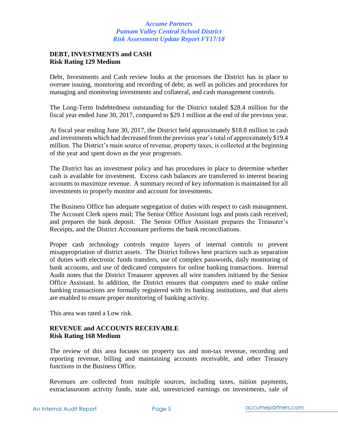# **DEBT, INVESTMENTS and CASH Risk Rating 129 Medium**

Debt, Investments and Cash review looks at the processes the District has in place to oversee issuing, monitoring and recording of debt; as well as policies and procedures for managing and monitoring investments and collateral, and cash management controls.

The Long-Term Indebtedness outstanding for the District totaled \$28.4 million for the fiscal year ended June 30, 2017, compared to \$29.1 million at the end of the previous year.

At fiscal year ending June 30, 2017, the District held approximately \$18.8 million in cash and investments which had decreased from the previous year's total of approximately \$19.4 million. The District's main source of revenue, property taxes, is collected at the beginning of the year and spent down as the year progresses.

The District has an investment policy and has procedures in place to determine whether cash is available for investment. Excess cash balances are transferred to interest bearing accounts to maximize revenue. A summary record of key information is maintained for all investments to properly monitor and account for investments.

The Business Office has adequate segregation of duties with respect to cash management. The Account Clerk opens mail; The Senior Office Assistant logs and posts cash received; and prepares the bank deposit. The Senior Office Assistant prepares the Treasurer's Receipts, and the District Accountant performs the bank reconciliations.

Proper cash technology controls require layers of internal controls to prevent misappropriation of district assets. The District follows best practices such as separation of duties with electronic funds transfers, use of complex passwords, daily monitoring of bank accounts, and use of dedicated computers for online banking transactions. Internal Audit notes that the District Treasurer approves all wire transfers initiated by the Senior Office Assistant. In addition, the District ensures that computers used to make online banking transactions are formally registered with its banking institutions, and that alerts are enabled to ensure proper monitoring of banking activity.

This area was rated a Low risk.

# **REVENUE and ACCOUNTS RECEIVABLE Risk Rating 168 Medium**

The review of this area focuses on property tax and non-tax revenue, recording and reporting revenue, billing and maintaining accounts receivable, and other Treasury functions in the Business Office.

Revenues are collected from multiple sources, including taxes, tuition payments, extraclassroom activity funds, state aid, unrestricted earnings on investments, sale of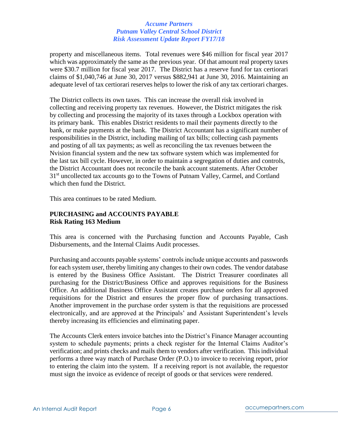property and miscellaneous items. Total revenues were \$46 million for fiscal year 2017 which was approximately the same as the previous year. Of that amount real property taxes were \$30.7 million for fiscal year 2017. The District has a reserve fund for tax certiorari claims of \$1,040,746 at June 30, 2017 versus \$882,941 at June 30, 2016. Maintaining an adequate level of tax certiorari reserves helps to lower the risk of any tax certiorari charges.

The District collects its own taxes. This can increase the overall risk involved in collecting and receiving property tax revenues. However, the District mitigates the risk by collecting and processing the majority of its taxes through a Lockbox operation with its primary bank. This enables District residents to mail their payments directly to the bank, or make payments at the bank. The District Accountant has a significant number of responsibilities in the District, including mailing of tax bills; collecting cash payments and posting of all tax payments; as well as reconciling the tax revenues between the Nvision financial system and the new tax software system which was implemented for the last tax bill cycle. However, in order to maintain a segregation of duties and controls, the District Accountant does not reconcile the bank account statements. After October 31<sup>st</sup> uncollected tax accounts go to the Towns of Putnam Valley, Carmel, and Cortland which then fund the District.

This area continues to be rated Medium.

# **PURCHASING and ACCOUNTS PAYABLE Risk Rating 163 Medium**

This area is concerned with the Purchasing function and Accounts Payable, Cash Disbursements, and the Internal Claims Audit processes.

Purchasing and accounts payable systems' controls include unique accounts and passwords for each system user, thereby limiting any changes to their own codes. The vendor database is entered by the Business Office Assistant. The District Treasurer coordinates all purchasing for the District/Business Office and approves requisitions for the Business Office. An additional Business Office Assistant creates purchase orders for all approved requisitions for the District and ensures the proper flow of purchasing transactions. Another improvement in the purchase order system is that the requisitions are processed electronically, and are approved at the Principals' and Assistant Superintendent's levels thereby increasing its efficiencies and eliminating paper.

The Accounts Clerk enters invoice batches into the District's Finance Manager accounting system to schedule payments; prints a check register for the Internal Claims Auditor's verification; and prints checks and mails them to vendors after verification. This individual performs a three way match of Purchase Order (P.O.) to invoice to receiving report, prior to entering the claim into the system. If a receiving report is not available, the requestor must sign the invoice as evidence of receipt of goods or that services were rendered.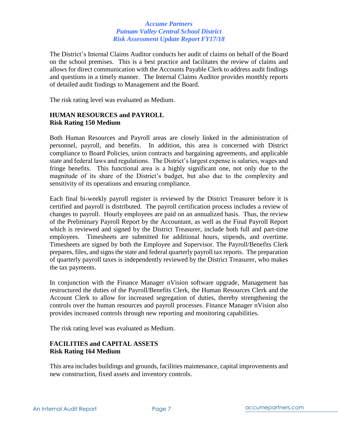The District's Internal Claims Auditor conducts her audit of claims on behalf of the Board on the school premises. This is a best practice and facilitates the review of claims and allows for direct communication with the Accounts Payable Clerk to address audit findings and questions in a timely manner. The Internal Claims Auditor provides monthly reports of detailed audit findings to Management and the Board.

The risk rating level was evaluated as Medium.

# **HUMAN RESOURCES and PAYROLL Risk Rating 150 Medium**

Both Human Resources and Payroll areas are closely linked in the administration of personnel, payroll, and benefits. In addition, this area is concerned with District compliance to Board Policies, union contracts and bargaining agreements, and applicable state and federal laws and regulations. The District's largest expense is salaries, wages and fringe benefits. This functional area is a highly significant one, not only due to the magnitude of its share of the District's budget, but also due to the complexity and sensitivity of its operations and ensuring compliance.

Each final bi-weekly payroll register is reviewed by the District Treasurer before it is certified and payroll is distributed. The payroll certification process includes a review of changes to payroll. Hourly employees are paid on an annualized basis. Thus, the review of the Preliminary Payroll Report by the Accountant, as well as the Final Payroll Report which is reviewed and signed by the District Treasurer, include both full and part-time employees. Timesheets are submitted for additional hours, stipends, and overtime. Timesheets are signed by both the Employee and Supervisor. The Payroll/Benefits Clerk prepares, files, and signs the state and federal quarterly payroll tax reports. The preparation of quarterly payroll taxes is independently reviewed by the District Treasurer, who makes the tax payments.

In conjunction with the Finance Manager nVision software upgrade, Management has restructured the duties of the Payroll/Benefits Clerk, the Human Resources Clerk and the Account Clerk to allow for increased segregation of duties, thereby strengthening the controls over the human resources and payroll processes. Finance Manager nVision also provides increased controls through new reporting and monitoring capabilities.

The risk rating level was evaluated as Medium.

# **FACILITIES and CAPITAL ASSETS Risk Rating 164 Medium**

This area includes buildings and grounds, facilities maintenance, capital improvements and new construction, fixed assets and inventory controls.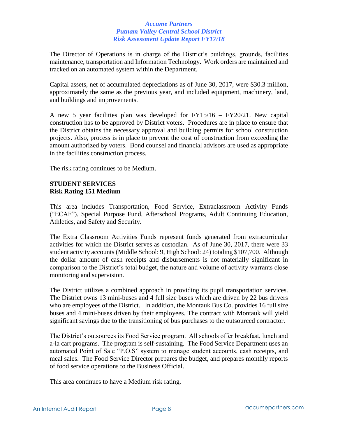The Director of Operations is in charge of the District's buildings, grounds, facilities maintenance, transportation and Information Technology. Work orders are maintained and tracked on an automated system within the Department.

Capital assets, net of accumulated depreciations as of June 30, 2017, were \$30.3 million, approximately the same as the previous year, and included equipment, machinery, land, and buildings and improvements.

A new 5 year facilities plan was developed for FY15/16 – FY20/21. New capital construction has to be approved by District voters. Procedures are in place to ensure that the District obtains the necessary approval and building permits for school construction projects. Also, process is in place to prevent the cost of construction from exceeding the amount authorized by voters. Bond counsel and financial advisors are used as appropriate in the facilities construction process.

The risk rating continues to be Medium.

# **STUDENT SERVICES Risk Rating 151 Medium**

This area includes Transportation, Food Service, Extraclassroom Activity Funds ("ECAF"), Special Purpose Fund, Afterschool Programs, Adult Continuing Education, Athletics, and Safety and Security.

The Extra Classroom Activities Funds represent funds generated from extracurricular activities for which the District serves as custodian. As of June 30, 2017, there were 33 student activity accounts (Middle School: 9, High School: 24) totaling \$107,700. Although the dollar amount of cash receipts and disbursements is not materially significant in comparison to the District's total budget, the nature and volume of activity warrants close monitoring and supervision.

The District utilizes a combined approach in providing its pupil transportation services. The District owns 13 mini-buses and 4 full size buses which are driven by 22 bus drivers who are employees of the District. In addition, the Montauk Bus Co. provides 16 full size buses and 4 mini-buses driven by their employees. The contract with Montauk will yield significant savings due to the transitioning of bus purchases to the outsourced contractor.

The District's outsources its Food Service program. All schools offer breakfast, lunch and a-la cart programs. The program is self-sustaining. The Food Service Department uses an automated Point of Sale "P.O.S" system to manage student accounts, cash receipts, and meal sales. The Food Service Director prepares the budget, and prepares monthly reports of food service operations to the Business Official.

This area continues to have a Medium risk rating.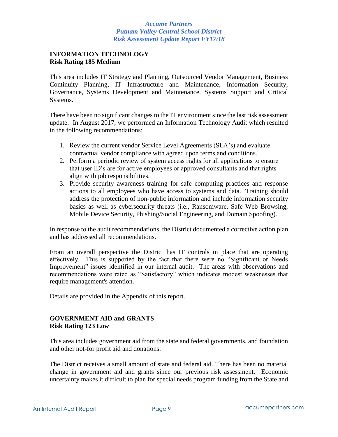### **INFORMATION TECHNOLOGY Risk Rating 185 Medium**

This area includes IT Strategy and Planning, Outsourced Vendor Management, Business Continuity Planning, IT Infrastructure and Maintenance, Information Security, Governance, Systems Development and Maintenance, Systems Support and Critical Systems.

There have been no significant changes to the IT environment since the last risk assessment update. In August 2017, we performed an Information Technology Audit which resulted in the following recommendations:

- 1. Review the current vendor Service Level Agreements (SLA's) and evaluate contractual vendor compliance with agreed upon terms and conditions.
- 2. Perform a periodic review of system access rights for all applications to ensure that user ID's are for active employees or approved consultants and that rights align with job responsibilities.
- 3. Provide security awareness training for safe computing practices and response actions to all employees who have access to systems and data. Training should address the protection of non-public information and include information security basics as well as cybersecurity threats (i.e., Ransomware, Safe Web Browsing, Mobile Device Security, Phishing/Social Engineering, and Domain Spoofing).

In response to the audit recommendations, the District documented a corrective action plan and has addressed all recommendations.

From an overall perspective the District has IT controls in place that are operating effectively. This is supported by the fact that there were no "Significant or Needs Improvement" issues identified in our internal audit. The areas with observations and recommendations were rated as "Satisfactory" which indicates modest weaknesses that require management's attention.

Details are provided in the Appendix of this report.

# **GOVERNMENT AID and GRANTS Risk Rating 123 Low**

This area includes government aid from the state and federal governments, and foundation and other not-for profit aid and donations.

The District receives a small amount of state and federal aid. There has been no material change in government aid and grants since our previous risk assessment. Economic uncertainty makes it difficult to plan for special needs program funding from the State and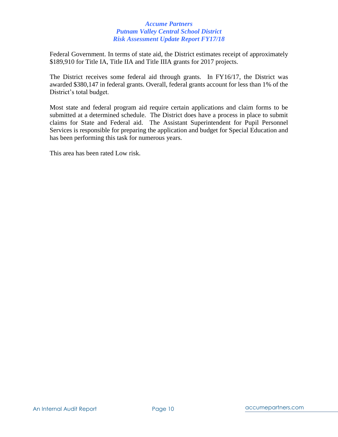Federal Government. In terms of state aid, the District estimates receipt of approximately \$189,910 for Title IA, Title IIA and Title IIIA grants for 2017 projects.

The District receives some federal aid through grants. In FY16/17, the District was awarded \$380,147 in federal grants. Overall, federal grants account for less than 1% of the District's total budget.

Most state and federal program aid require certain applications and claim forms to be submitted at a determined schedule. The District does have a process in place to submit claims for State and Federal aid. The Assistant Superintendent for Pupil Personnel Services is responsible for preparing the application and budget for Special Education and has been performing this task for numerous years.

This area has been rated Low risk.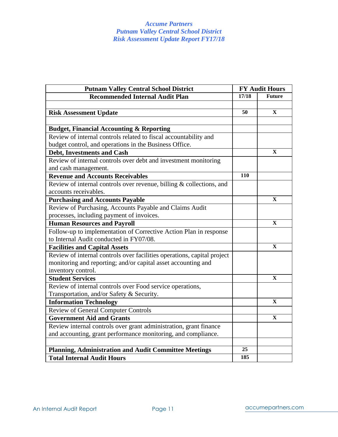| <b>Putnam Valley Central School District</b>                            |     | <b>FY Audit Hours</b> |  |  |
|-------------------------------------------------------------------------|-----|-----------------------|--|--|
| <b>Recommended Internal Audit Plan</b>                                  |     | <b>Future</b>         |  |  |
|                                                                         |     |                       |  |  |
| <b>Risk Assessment Update</b>                                           | 50  | $\mathbf{X}$          |  |  |
|                                                                         |     |                       |  |  |
| <b>Budget, Financial Accounting &amp; Reporting</b>                     |     |                       |  |  |
| Review of internal controls related to fiscal accountability and        |     |                       |  |  |
| budget control, and operations in the Business Office.                  |     |                       |  |  |
| <b>Debt, Investments and Cash</b>                                       |     | X                     |  |  |
| Review of internal controls over debt and investment monitoring         |     |                       |  |  |
| and cash management.                                                    |     |                       |  |  |
| <b>Revenue and Accounts Receivables</b>                                 | 110 |                       |  |  |
| Review of internal controls over revenue, billing $&$ collections, and  |     |                       |  |  |
| accounts receivables.                                                   |     |                       |  |  |
| <b>Purchasing and Accounts Payable</b>                                  |     | $\mathbf{X}$          |  |  |
| Review of Purchasing, Accounts Payable and Claims Audit                 |     |                       |  |  |
| processes, including payment of invoices.                               |     |                       |  |  |
| <b>Human Resources and Payroll</b>                                      |     | $\mathbf{X}$          |  |  |
| Follow-up to implementation of Corrective Action Plan in response       |     |                       |  |  |
| to Internal Audit conducted in FY07/08.                                 |     |                       |  |  |
| <b>Facilities and Capital Assets</b>                                    |     | $\mathbf{X}$          |  |  |
| Review of internal controls over facilities operations, capital project |     |                       |  |  |
| monitoring and reporting; and/or capital asset accounting and           |     |                       |  |  |
| inventory control.                                                      |     |                       |  |  |
| <b>Student Services</b>                                                 |     | $\mathbf X$           |  |  |
| Review of internal controls over Food service operations,               |     |                       |  |  |
| Transportation, and/or Safety & Security.                               |     |                       |  |  |
| <b>Information Technology</b>                                           |     | $\mathbf{x}$          |  |  |
| <b>Review of General Computer Controls</b>                              |     |                       |  |  |
| <b>Government Aid and Grants</b>                                        |     | X                     |  |  |
| Review internal controls over grant administration, grant finance       |     |                       |  |  |
| and accounting, grant performance monitoring, and compliance.           |     |                       |  |  |
|                                                                         |     |                       |  |  |
| <b>Planning, Administration and Audit Committee Meetings</b>            | 25  |                       |  |  |
| <b>Total Internal Audit Hours</b>                                       | 185 |                       |  |  |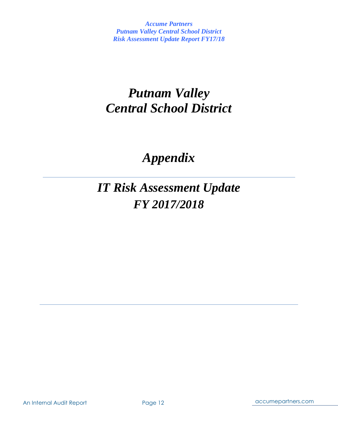# *Putnam Valley Central School District*

# *Appendix*

# *IT Risk Assessment Update FY 2017/2018*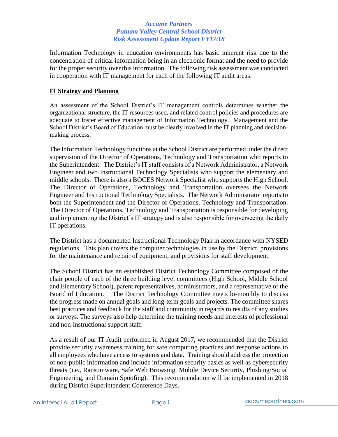Information Technology in education environments has basic inherent risk due to the concentration of critical information being in an electronic format and the need to provide for the proper security over this information. The following risk assessment was conducted in cooperation with IT management for each of the following IT audit areas:

### **IT Strategy and Planning**

An assessment of the School District's IT management controls determines whether the organizational structure, the IT resources used, and related control policies and procedures are adequate to foster effective management of Information Technology. Management and the School District's Board of Education must be clearly involved in the IT planning and decisionmaking process.

The Information Technology functions at the School District are performed under the direct supervision of the Director of Operations, Technology and Transportation who reports to the Superintendent. The District's IT staff consists of a Network Administrator, a Network Engineer and two Instructional Technology Specialists who support the elementary and middle schools. There is also a BOCES Network Specialist who supports the High School. The Director of Operations, Technology and Transportation oversees the Network Engineer and Instructional Technology Specialists. The Network Administrator reports to both the Superintendent and the Director of Operations, Technology and Transportation. The Director of Operations, Technology and Transportation is responsible for developing and implementing the District's IT strategy and is also responsible for overseeing the daily IT operations.

The District has a documented Instructional Technology Plan in accordance with NYSED regulations. This plan covers the computer technologies in use by the District, provisions for the maintenance and repair of equipment, and provisions for staff development.

The School District has an established District Technology Committee composed of the chair people of each of the three building level committees (High School, Middle School and Elementary School), parent representatives, administrators, and a representative of the Board of Education. The District Technology Committee meets bi-monthly to discuss the progress made on annual goals and long-term goals and projects. The committee shares best practices and feedback for the staff and community in regards to results of any studies or surveys. The surveys also help determine the training needs and interests of professional and non-instructional support staff.

As a result of our IT Audit performed in August 2017, we recommended that the District provide security awareness training for safe computing practices and response actions to all employees who have access to systems and data. Training should address the protection of non-public information and include information security basics as well as cybersecurity threats (i.e., Ransomware, Safe Web Browsing, Mobile Device Security, Phishing/Social Engineering, and Domain Spoofing). This recommendation will be implemented in 2018 during District Superintendent Conference Days.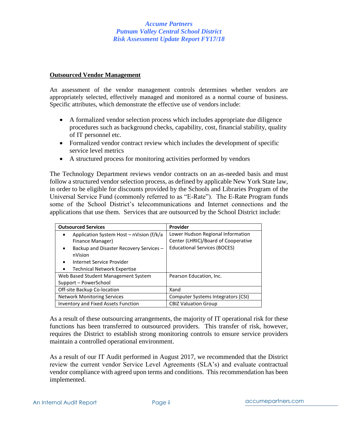### **Outsourced Vendor Management**

An assessment of the vendor management controls determines whether vendors are appropriately selected, effectively managed and monitored as a normal course of business. Specific attributes, which demonstrate the effective use of vendors include:

- A formalized vendor selection process which includes appropriate due diligence procedures such as background checks, capability, cost, financial stability, quality of IT personnel etc.
- Formalized vendor contract review which includes the development of specific service level metrics
- A structured process for monitoring activities performed by vendors

The Technology Department reviews vendor contracts on an as-needed basis and must follow a structured vendor selection process, as defined by applicable New York State law, in order to be eligible for discounts provided by the Schools and Libraries Program of the Universal Service Fund (commonly referred to as "E-Rate"). The E-Rate Program funds some of the School District's telecommunications and Internet connections and the applications that use them. Services that are outsourced by the School District include:

| <b>Outsourced Services</b>                   | Provider                            |
|----------------------------------------------|-------------------------------------|
| Application System Host - nVision (f/k/a     | Lower Hudson Regional Information   |
| Finance Manager)                             | Center (LHRIC)/Board of Cooperative |
| Backup and Disaster Recovery Services -<br>٠ | <b>Educational Services (BOCES)</b> |
| nVision                                      |                                     |
| Internet Service Provider<br>$\bullet$       |                                     |
| <b>Technical Network Expertise</b>           |                                     |
| Web Based Student Management System          | Pearson Education, Inc.             |
| Support - PowerSchool                        |                                     |
| Off-site Backup Co-location                  | Xand                                |
| <b>Network Monitoring Services</b>           | Computer Systems Integrators (CSI)  |
| <b>Inventory and Fixed Assets Function</b>   | <b>CBIZ Valuation Group</b>         |

As a result of these outsourcing arrangements, the majority of IT operational risk for these functions has been transferred to outsourced providers. This transfer of risk, however, requires the District to establish strong monitoring controls to ensure service providers maintain a controlled operational environment.

As a result of our IT Audit performed in August 2017, we recommended that the District review the current vendor Service Level Agreements (SLA's) and evaluate contractual vendor compliance with agreed upon terms and conditions. This recommendation has been implemented.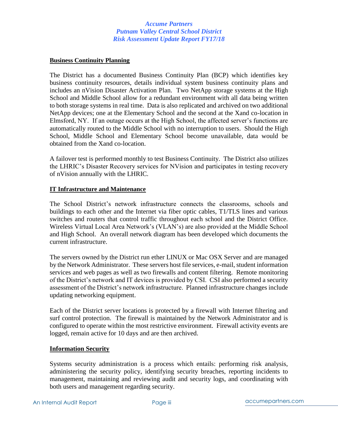#### **Business Continuity Planning**

The District has a documented Business Continuity Plan (BCP) which identifies key business continuity resources, details individual system business continuity plans and includes an nVision Disaster Activation Plan. Two NetApp storage systems at the High School and Middle School allow for a redundant environment with all data being written to both storage systems in real time. Data is also replicated and archived on two additional NetApp devices; one at the Elementary School and the second at the Xand co-location in Elmsford, NY. If an outage occurs at the High School, the affected server's functions are automatically routed to the Middle School with no interruption to users. Should the High School, Middle School and Elementary School become unavailable, data would be obtained from the Xand co-location.

A failover test is performed monthly to test Business Continuity. The District also utilizes the LHRIC's Disaster Recovery services for NVision and participates in testing recovery of nVision annually with the LHRIC.

#### **IT Infrastructure and Maintenance**

The School District's network infrastructure connects the classrooms, schools and buildings to each other and the Internet via fiber optic cables, T1/TLS lines and various switches and routers that control traffic throughout each school and the District Office. Wireless Virtual Local Area Network's (VLAN's) are also provided at the Middle School and High School. An overall network diagram has been developed which documents the current infrastructure.

The servers owned by the District run ether LINUX or Mac OSX Server and are managed by the Network Administrator. These servers host file services, e-mail, student information services and web pages as well as two firewalls and content filtering. Remote monitoring of the District's network and IT devices is provided by CSI. CSI also performed a security assessment of the District's network infrastructure. Planned infrastructure changes include updating networking equipment.

Each of the District server locations is protected by a firewall with Internet filtering and surf control protection. The firewall is maintained by the Network Administrator and is configured to operate within the most restrictive environment. Firewall activity events are logged, remain active for 10 days and are then archived.

### **Information Security**

Systems security administration is a process which entails: performing risk analysis, administering the security policy, identifying security breaches, reporting incidents to management, maintaining and reviewing audit and security logs, and coordinating with both users and management regarding security.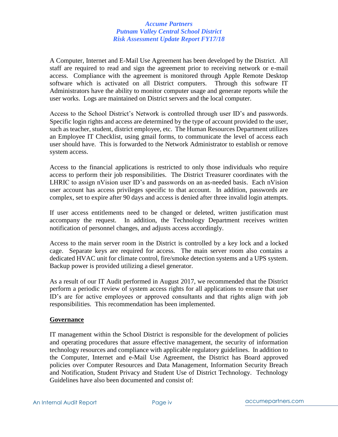A Computer, Internet and E-Mail Use Agreement has been developed by the District. All staff are required to read and sign the agreement prior to receiving network or e-mail access. Compliance with the agreement is monitored through Apple Remote Desktop software which is activated on all District computers. Through this software IT Administrators have the ability to monitor computer usage and generate reports while the user works. Logs are maintained on District servers and the local computer.

Access to the School District's Network is controlled through user ID's and passwords. Specific login rights and access are determined by the type of account provided to the user, such as teacher, student, district employee, etc. The Human Resources Department utilizes an Employee IT Checklist, using gmail forms, to communicate the level of access each user should have. This is forwarded to the Network Administrator to establish or remove system access.

Access to the financial applications is restricted to only those individuals who require access to perform their job responsibilities. The District Treasurer coordinates with the LHRIC to assign nVision user ID's and passwords on an as-needed basis. Each nVision user account has access privileges specific to that account. In addition, passwords are complex, set to expire after 90 days and access is denied after three invalid login attempts.

If user access entitlements need to be changed or deleted, written justification must accompany the request. In addition, the Technology Department receives written notification of personnel changes, and adjusts access accordingly.

Access to the main server room in the District is controlled by a key lock and a locked cage. Separate keys are required for access. The main server room also contains a dedicated HVAC unit for climate control, fire/smoke detection systems and a UPS system. Backup power is provided utilizing a diesel generator.

As a result of our IT Audit performed in August 2017, we recommended that the District perform a periodic review of system access rights for all applications to ensure that user ID's are for active employees or approved consultants and that rights align with job responsibilities. This recommendation has been implemented.

### **Governance**

IT management within the School District is responsible for the development of policies and operating procedures that assure effective management, the security of information technology resources and compliance with applicable regulatory guidelines. In addition to the Computer, Internet and e-Mail Use Agreement, the District has Board approved policies over Computer Resources and Data Management, Information Security Breach and Notification, Student Privacy and Student Use of District Technology. Technology Guidelines have also been documented and consist of: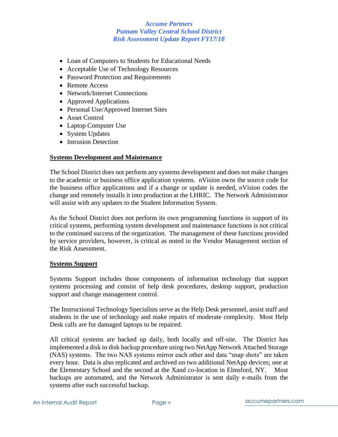- Loan of Computers to Students for Educational Needs
- Acceptable Use of Technology Resources
- Password Protection and Requirements
- Remote Access
- Network/Internet Connections
- Approved Applications
- Personal Use/Approved Internet Sites
- Asset Control
- Laptop Computer Use
- System Updates
- Intrusion Detection

### **Systems Development and Maintenance**

The School District does not perform any systems development and does not make changes to the academic or business office application systems. nVision owns the source code for the business office applications and if a change or update is needed, nVision codes the change and remotely installs it into production at the LHRIC. The Network Administrator will assist with any updates to the Student Information System.

As the School District does not perform its own programming functions in support of its critical systems, performing system development and maintenance functions is not critical to the continued success of the organization. The management of these functions provided by service providers, however, is critical as noted in the Vendor Management section of the Risk Assessment.

### **Systems Support**

Systems Support includes those components of information technology that support systems processing and consist of help desk procedures, desktop support, production support and change management control.

The Instructional Technology Specialists serve as the Help Desk personnel, assist staff and students in the use of technology and make repairs of moderate complexity. Most Help Desk calls are for damaged laptops to be repaired.

All critical systems are backed up daily, both locally and off-site. The District has implemented a disk to disk backup procedure using two NetApp Network Attached Storage (NAS) systems. The two NAS systems mirror each other and data "snap shots" are taken every hour. Data is also replicated and archived on two additional NetApp devices; one at the Elementary School and the second at the Xand co-location in Elmsford, NY. Most backups are automated, and the Network Administrator is sent daily e-mails from the systems after each successful backup.